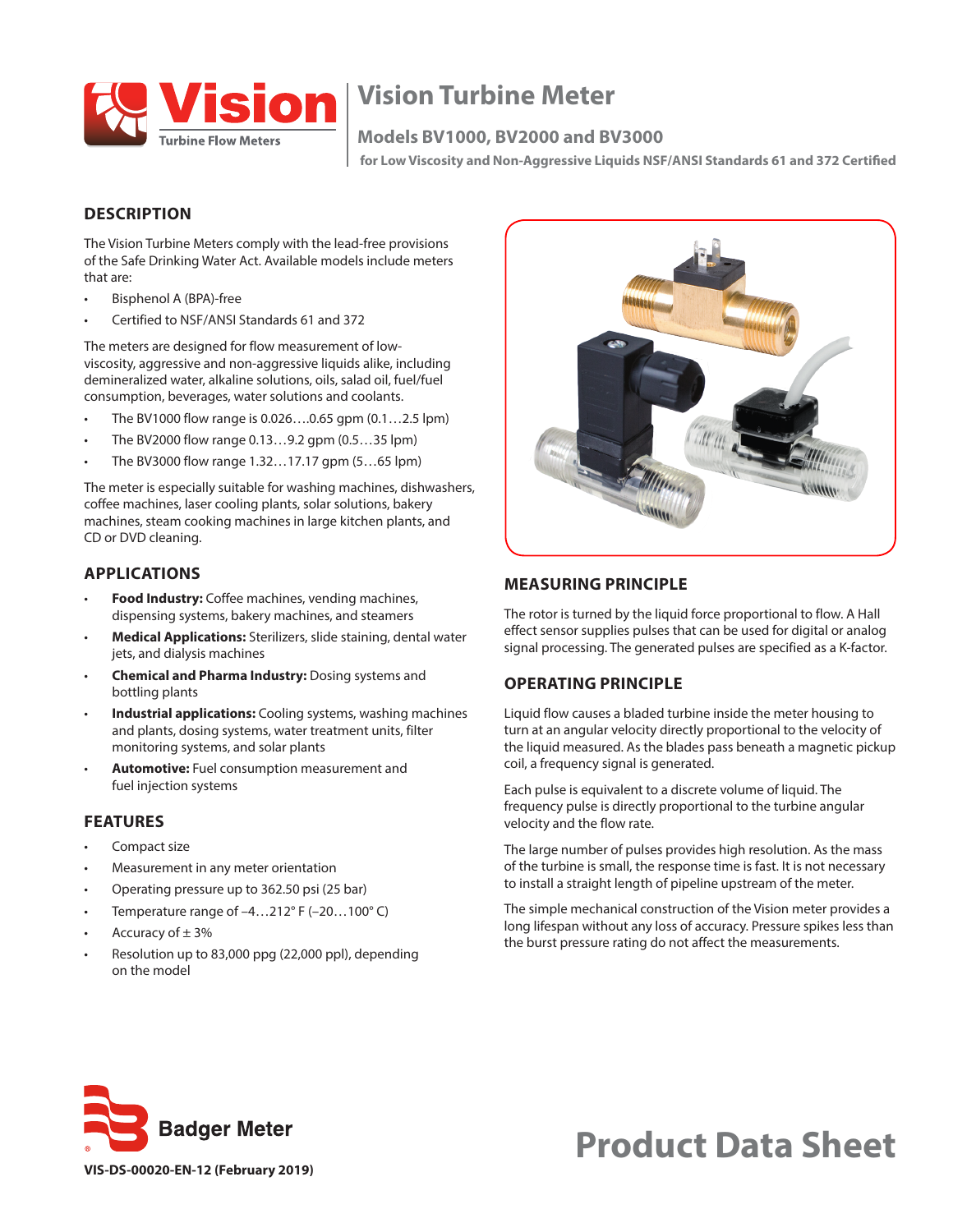

## **Vision Turbine Meter**

#### **Models BV1000, BV2000 and BV3000**

 **for Low Viscosity and Non-Aggressive Liquids NSF/ANSI Standards 61 and 372 Certified**

#### **DESCRIPTION**

The Vision Turbine Meters comply with the lead-free provisions of the Safe Drinking Water Act. Available models include meters that are:

- Bisphenol A (BPA)-free
- Certified to NSF/ANSI Standards 61 and 372

The meters are designed for flow measurement of lowviscosity, aggressive and non-aggressive liquids alike, including demineralized water, alkaline solutions, oils, salad oil, fuel/fuel consumption, beverages, water solutions and coolants.

- The BV1000 flow range is 0.026….0.65 gpm (0.1…2.5 lpm)
- The BV2000 flow range 0.13…9.2 gpm (0.5…35 lpm)
- The BV3000 flow range 1.32…17.17 gpm (5…65 lpm)

The meter is especially suitable for washing machines, dishwashers, coffee machines, laser cooling plants, solar solutions, bakery machines, steam cooking machines in large kitchen plants, and CD or DVD cleaning.

#### **APPLICATIONS**

- **Food Industry:** Coffee machines, vending machines, dispensing systems, bakery machines, and steamers
- **Medical Applications:** Sterilizers, slide staining, dental water jets, and dialysis machines
- **Chemical and Pharma Industry:** Dosing systems and bottling plants
- **Industrial applications:** Cooling systems, washing machines and plants, dosing systems, water treatment units, filter monitoring systems, and solar plants
- **Automotive:** Fuel consumption measurement and fuel injection systems

#### **FEATURES**

- Compact size
- Measurement in any meter orientation
- Operating pressure up to 362.50 psi (25 bar)
- Temperature range of  $-4...212$ °F ( $-20...100$ °C)
- Accuracy of  $\pm$  3%
- Resolution up to 83,000 ppg (22,000 ppl), depending on the model



#### **MEASURING PRINCIPLE**

The rotor is turned by the liquid force proportional to flow. A Hall effect sensor supplies pulses that can be used for digital or analog signal processing. The generated pulses are specified as a K-factor.

#### **OPERATING PRINCIPLE**

Liquid flow causes a bladed turbine inside the meter housing to turn at an angular velocity directly proportional to the velocity of the liquid measured. As the blades pass beneath a magnetic pickup coil, a frequency signal is generated.

Each pulse is equivalent to a discrete volume of liquid. The frequency pulse is directly proportional to the turbine angular velocity and the flow rate.

The large number of pulses provides high resolution. As the mass of the turbine is small, the response time is fast. It is not necessary to install a straight length of pipeline upstream of the meter.

The simple mechanical construction of the Vision meter provides a long lifespan without any loss of accuracy. Pressure spikes less than the burst pressure rating do not affect the measurements.



# **Product Data Sheet**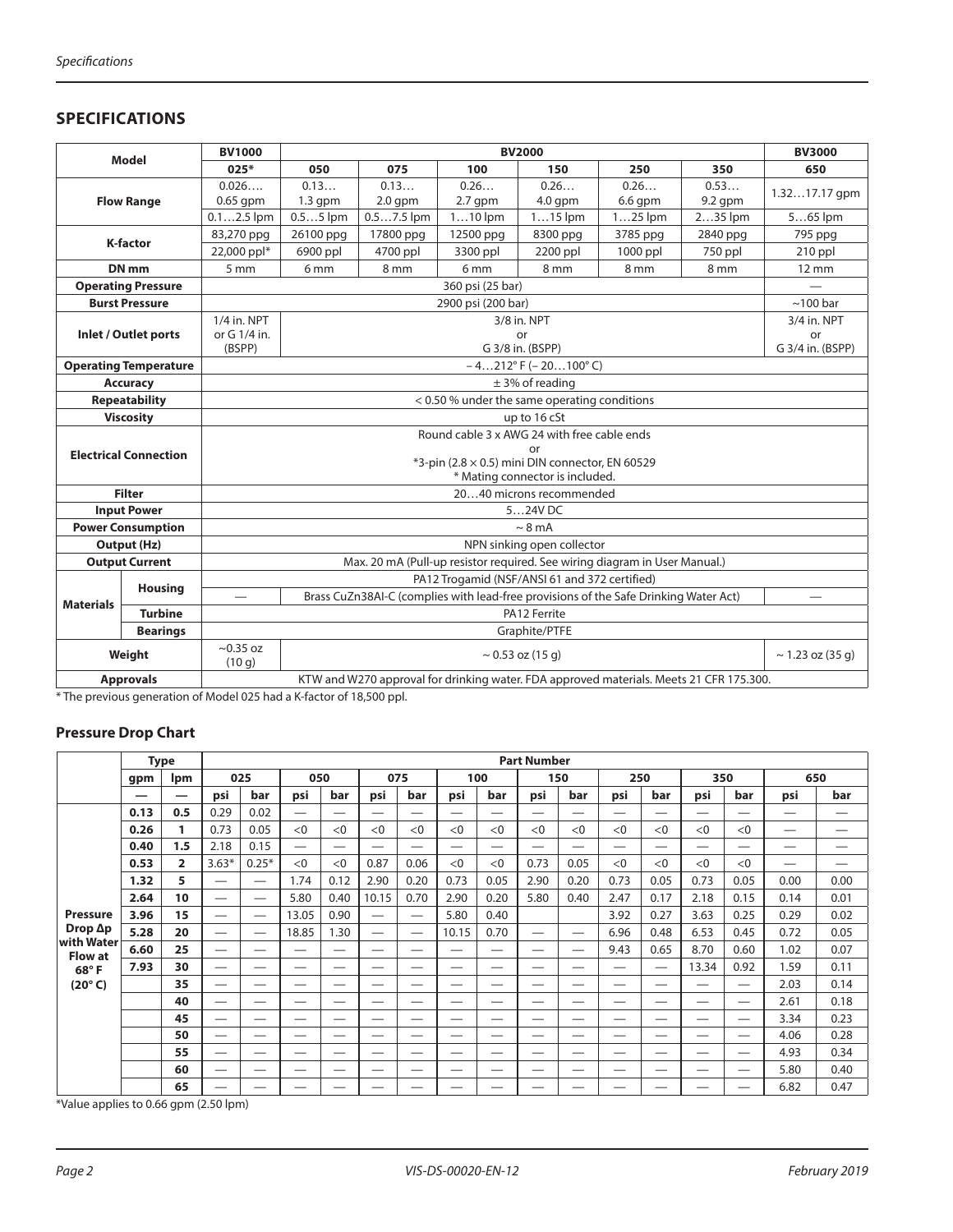#### **SPECIFICATIONS**

|                                    | <b>Model</b>                 | <b>BV1000</b>                                         |                 |                 |                    | <b>BV2000</b>                                 |                                                                                         |           | <b>BV3000</b>         |  |  |
|------------------------------------|------------------------------|-------------------------------------------------------|-----------------|-----------------|--------------------|-----------------------------------------------|-----------------------------------------------------------------------------------------|-----------|-----------------------|--|--|
|                                    |                              | $025*$                                                | 050             | 075             | 100                | 150                                           | 250                                                                                     | 350       | 650                   |  |  |
|                                    |                              | 0.026                                                 | 0.13            | 0.13            | 0.26               | 0.26                                          | 0.26                                                                                    | 0.53      | $1.3217.17$ qpm       |  |  |
|                                    | <b>Flow Range</b>            | $0.65$ gpm                                            | $1.3$ gpm       | $2.0$ gpm       | $2.7$ gpm          | $4.0$ qpm                                     | $6.6$ qpm                                                                               | $9.2$ qpm |                       |  |  |
|                                    |                              | $0.12.5$ lpm                                          | $0.55$ lpm      | $0.57.5$ lpm    | $110$ lpm          | $115$ lpm                                     | $125$ lpm                                                                               | 235 lpm   | $565$ lpm             |  |  |
|                                    | <b>K-factor</b>              | 83,270 ppg                                            | 26100 ppg       | 17800 ppg       | 12500 ppg          | 8300 ppg                                      | 3785 ppg                                                                                | 2840 ppg  | 795 ppg               |  |  |
|                                    |                              | 22,000 ppl*                                           | 6900 ppl        | 4700 ppl        | 3300 ppl           | 2200 ppl                                      | $1000$ ppl                                                                              | 750 ppl   | $210$ ppl             |  |  |
|                                    | DN <sub>mm</sub>             | 5 <sub>mm</sub>                                       | 6 <sub>mm</sub> | 8 <sub>mm</sub> | 6 <sub>mm</sub>    | 8 mm                                          | 8 mm                                                                                    | 8 mm      | 12 mm                 |  |  |
|                                    | <b>Operating Pressure</b>    |                                                       |                 |                 | 360 psi (25 bar)   |                                               |                                                                                         |           |                       |  |  |
|                                    | <b>Burst Pressure</b>        |                                                       |                 |                 | 2900 psi (200 bar) |                                               |                                                                                         |           | $\sim$ 100 bar        |  |  |
|                                    |                              | 1/4 in, NPT                                           |                 |                 |                    | 3/8 in. NPT                                   |                                                                                         |           | 3/4 in. NPT           |  |  |
|                                    | Inlet / Outlet ports         | or G 1/4 in.                                          |                 |                 |                    | or                                            |                                                                                         |           | or                    |  |  |
|                                    |                              | (BSPP)                                                |                 |                 |                    | G 3/8 in. (BSPP)                              |                                                                                         |           | G 3/4 in. (BSPP)      |  |  |
|                                    | <b>Operating Temperature</b> | $-4212^{\circ}$ F ( $-20100^{\circ}$ C)               |                 |                 |                    |                                               |                                                                                         |           |                       |  |  |
|                                    | <b>Accuracy</b>              | $±$ 3% of reading                                     |                 |                 |                    |                                               |                                                                                         |           |                       |  |  |
|                                    | <b>Repeatability</b>         | < 0.50 % under the same operating conditions          |                 |                 |                    |                                               |                                                                                         |           |                       |  |  |
|                                    | <b>Viscosity</b>             |                                                       |                 |                 |                    | up to 16 cSt                                  |                                                                                         |           |                       |  |  |
|                                    |                              | Round cable 3 x AWG 24 with free cable ends           |                 |                 |                    |                                               |                                                                                         |           |                       |  |  |
|                                    | <b>Electrical Connection</b> | or<br>*3-pin (2.8 × 0.5) mini DIN connector, EN 60529 |                 |                 |                    |                                               |                                                                                         |           |                       |  |  |
|                                    |                              | * Mating connector is included.                       |                 |                 |                    |                                               |                                                                                         |           |                       |  |  |
|                                    | <b>Filter</b>                | 2040 microns recommended                              |                 |                 |                    |                                               |                                                                                         |           |                       |  |  |
|                                    | <b>Input Power</b>           |                                                       |                 |                 |                    | 524V DC                                       |                                                                                         |           |                       |  |  |
|                                    | <b>Power Consumption</b>     |                                                       |                 |                 |                    | $\sim$ 8 mA                                   |                                                                                         |           |                       |  |  |
|                                    | Output (Hz)                  |                                                       |                 |                 |                    | NPN sinking open collector                    |                                                                                         |           |                       |  |  |
|                                    | <b>Output Current</b>        |                                                       |                 |                 |                    |                                               | Max. 20 mA (Pull-up resistor required. See wiring diagram in User Manual.)              |           |                       |  |  |
|                                    |                              |                                                       |                 |                 |                    | PA12 Trogamid (NSF/ANSI 61 and 372 certified) |                                                                                         |           |                       |  |  |
| <b>Housing</b>                     |                              |                                                       |                 |                 |                    |                                               | Brass CuZn38AI-C (complies with lead-free provisions of the Safe Drinking Water Act)    |           |                       |  |  |
| <b>Materials</b><br><b>Turbine</b> |                              |                                                       |                 |                 |                    | PA12 Ferrite                                  |                                                                                         |           |                       |  |  |
|                                    | <b>Bearings</b>              |                                                       |                 |                 |                    | Graphite/PTFE                                 |                                                                                         |           |                       |  |  |
|                                    | Weight                       | $\sim$ 0.35 oz<br>(10q)                               |                 |                 |                    | $\sim$ 0.53 oz (15 g)                         |                                                                                         |           | $\sim$ 1.23 oz (35 g) |  |  |
|                                    | <b>Approvals</b>             |                                                       |                 |                 |                    |                                               | KTW and W270 approval for drinking water. FDA approved materials. Meets 21 CFR 175.300. |           |                       |  |  |

\* The previous generation of Model 025 had a K-factor of 18,500 ppl.

#### **Pressure Drop Chart**

|                              |      | <b>Type</b>    |                          |                                 |                          |                                |                                 |                   |       |                          | <b>Part Number</b>       |                          |                          |                               |                          |                   |                                |      |
|------------------------------|------|----------------|--------------------------|---------------------------------|--------------------------|--------------------------------|---------------------------------|-------------------|-------|--------------------------|--------------------------|--------------------------|--------------------------|-------------------------------|--------------------------|-------------------|--------------------------------|------|
|                              | gpm  | <b>Ipm</b>     |                          | 025                             | 050                      | 075                            |                                 |                   |       | 100                      |                          | 150                      | 250                      |                               | 350                      |                   |                                | 650  |
|                              | —    |                | psi                      | bar                             | psi                      | bar                            | psi                             | bar               | psi   | bar                      | psi                      | bar                      | psi                      | bar                           | psi                      | bar               | psi                            | bar  |
|                              | 0.13 | 0.5            | 0.29                     | 0.02                            | $\overline{\phantom{0}}$ | $\overline{\phantom{0}}$       |                                 | —                 | —     | —                        | $\overline{\phantom{0}}$ | —                        | $\overline{\phantom{0}}$ | $\overbrace{\phantom{12333}}$ |                          |                   | $\overbrace{\phantom{123321}}$ | —    |
|                              | 0.26 | 1              | 0.73                     | 0.05                            | < 0                      | < 0                            | < 0                             | < 0               | < 0   | < 0                      | < 0                      | < 0                      | < 0                      | < 0                           | < 0                      | < 0               | $\overbrace{\phantom{123321}}$ |      |
|                              | 0.40 | 1.5            | 2.18                     | 0.15                            | $\overline{\phantom{0}}$ | $\overbrace{\phantom{123321}}$ | $\overbrace{\phantom{12332}}$   | —                 |       | $\overline{\phantom{0}}$ |                          | $\overline{\phantom{0}}$ | $\overline{\phantom{0}}$ | $\hspace{0.05cm}$             | $\hspace{0.05cm}$        |                   | —                              |      |
|                              | 0.53 | $\overline{2}$ | $3.63*$                  | $0.25*$                         | <0                       | < 0                            | 0.87                            | 0.06              | <0    | < 0                      | 0.73                     | 0.05                     | <0                       | <0                            | <0                       | <0                | $\hspace{0.05cm}$              | —    |
|                              | 1.32 | 5              | $\overline{\phantom{0}}$ |                                 | 1.74                     | 0.12                           | 2.90                            | 0.20              | 0.73  | 0.05                     | 2.90                     | 0.20                     | 0.73                     | 0.05                          | 0.73                     | 0.05              | 0.00                           | 0.00 |
|                              | 2.64 | 10             | —                        |                                 | 5.80                     | 0.40                           | 10.15                           | 0.70              | 2.90  | 0.20                     | 5.80                     | 0.40                     | 2.47                     | 0.17                          | 2.18                     | 0.15              | 0.14                           | 0.01 |
| <b>Pressure</b>              | 3.96 | 15             | $\overline{\phantom{0}}$ | $\hspace{0.1mm}-\hspace{0.1mm}$ | 13.05                    | 0.90                           | $\hspace{0.1mm}-\hspace{0.1mm}$ | $\hspace{0.05cm}$ | 5.80  | 0.40                     |                          |                          | 3.92                     | 0.27                          | 3.63                     | 0.25              | 0.29                           | 0.02 |
| Drop $\Delta p$              | 5.28 | 20             |                          |                                 | 18.85                    | 1.30                           | $\hspace{0.05cm}$               |                   | 10.15 | 0.70                     | $\overline{\phantom{0}}$ | $\overline{\phantom{0}}$ | 6.96                     | 0.48                          | 6.53                     | 0.45              | 0.72                           | 0.05 |
| with Water<br><b>Flow at</b> | 6.60 | 25             | —                        |                                 |                          |                                | –                               | –                 | –     | $\overline{\phantom{0}}$ |                          |                          | 9.43                     | 0.65                          | 8.70                     | 0.60              | 1.02                           | 0.07 |
| 68°F                         | 7.93 | 30             | $\overline{\phantom{0}}$ |                                 | —                        | $\overbrace{\phantom{123321}}$ |                                 |                   |       | —                        | —                        | —                        | $\overline{\phantom{0}}$ | $\overbrace{\phantom{12333}}$ | 13.34                    | 0.92              | 1.59                           | 0.11 |
| $(20^{\circ} C)$             |      | 35             |                          | –                               | –                        |                                | –                               | –                 | –     | —                        | —                        | $\overline{\phantom{0}}$ | —                        | $\hspace{0.05cm}$             | $\hspace{0.05cm}$        | $\hspace{0.05cm}$ | 2.03                           | 0.14 |
|                              |      | 40             | –                        |                                 | --                       |                                | –                               | –                 | —     | --                       | —                        |                          | —                        | —                             | $\overline{\phantom{0}}$ | —                 | 2.61                           | 0.18 |
|                              |      | 45             | —                        |                                 |                          |                                | $\sim$                          |                   | —     | —                        |                          | —                        |                          |                               |                          |                   | 3.34                           | 0.23 |
|                              |      | 50             | —                        |                                 | —                        |                                | —                               | —                 | —     | —                        | —                        | $\overline{\phantom{0}}$ | —                        |                               | $\hspace{0.05cm}$        | $\hspace{0.05cm}$ | 4.06                           | 0.28 |
|                              |      | 55             | —                        | –                               | –                        | —                              | –                               | –                 | –     | —                        | —                        | —                        | —                        | $\hspace{0.05cm}$             | —                        |                   | 4.93                           | 0.34 |
|                              |      | 60             | —                        |                                 |                          |                                |                                 | –                 |       |                          |                          | —                        | –                        |                               |                          |                   | 5.80                           | 0.40 |
|                              |      | 65             |                          |                                 | _                        | —                              |                                 |                   |       | _                        |                          | —                        | —                        | —                             |                          | —                 | 6.82                           | 0.47 |

\*Value applies to 0.66 gpm (2.50 lpm)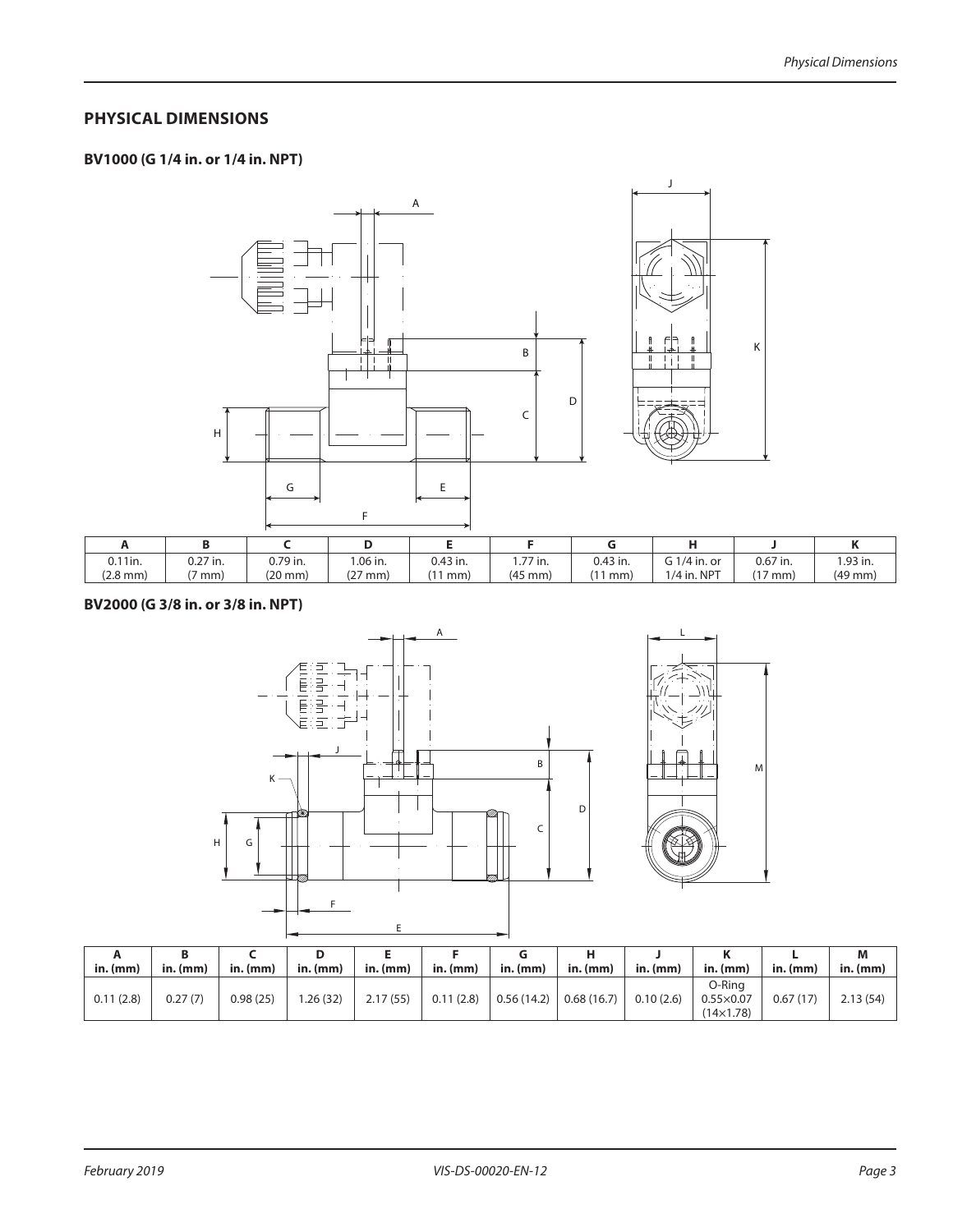#### **PHYSICAL DIMENSIONS**

### **BV1000 (G 1/4 in. or 1/4 in. NPT)**





| 11in.<br>v.   | $\hat{ }$ ?7 in. | 0.79 in.          | 1.06 in.                 | 0.43 in. | 1.77 in.          | 0.43 in. | $\sqrt{3}$ 1/4 in. or | $0.67$ in.      | 1.93 in.     |
|---------------|------------------|-------------------|--------------------------|----------|-------------------|----------|-----------------------|-----------------|--------------|
| $(2.8$ mm $)$ | mm)              | $(20 \text{ mm})$ | $\sim$ $-$<br>' mm)<br>◟ | mm)      | $(45 \text{ mm})$ | mm       | $1/4$ in. NPT         | $\sim$<br>' mm, | $(49$ mm $)$ |

#### **BV2000 (G 3/8 in. or 3/8 in. NPT)**





| in.(mm)   | in. (mm) | $in.$ $(mm)$ | ш<br>$in.$ (mm) | in. (mm) | in. (mm)      | in.(mm)    | $in.$ $(mm)$ | in. (mm)  | in. (mm)                                         | $\mathsf{in}.(\mathsf{mm})$ | M<br>$in.$ (mm) |
|-----------|----------|--------------|-----------------|----------|---------------|------------|--------------|-----------|--------------------------------------------------|-----------------------------|-----------------|
| 0.11(2.8) | 0.27(7)  | 0.98(25)     | .26(32)         | 2.17(55) | 0.11<br>(2.8) | 0.56(14.2) | 0.68(16.7)   | 0.10(2.6) | O-Ring<br>$0.55 \times 0.07$<br>$(14\times1.78)$ | 0.67(17)                    | 2.13(54)        |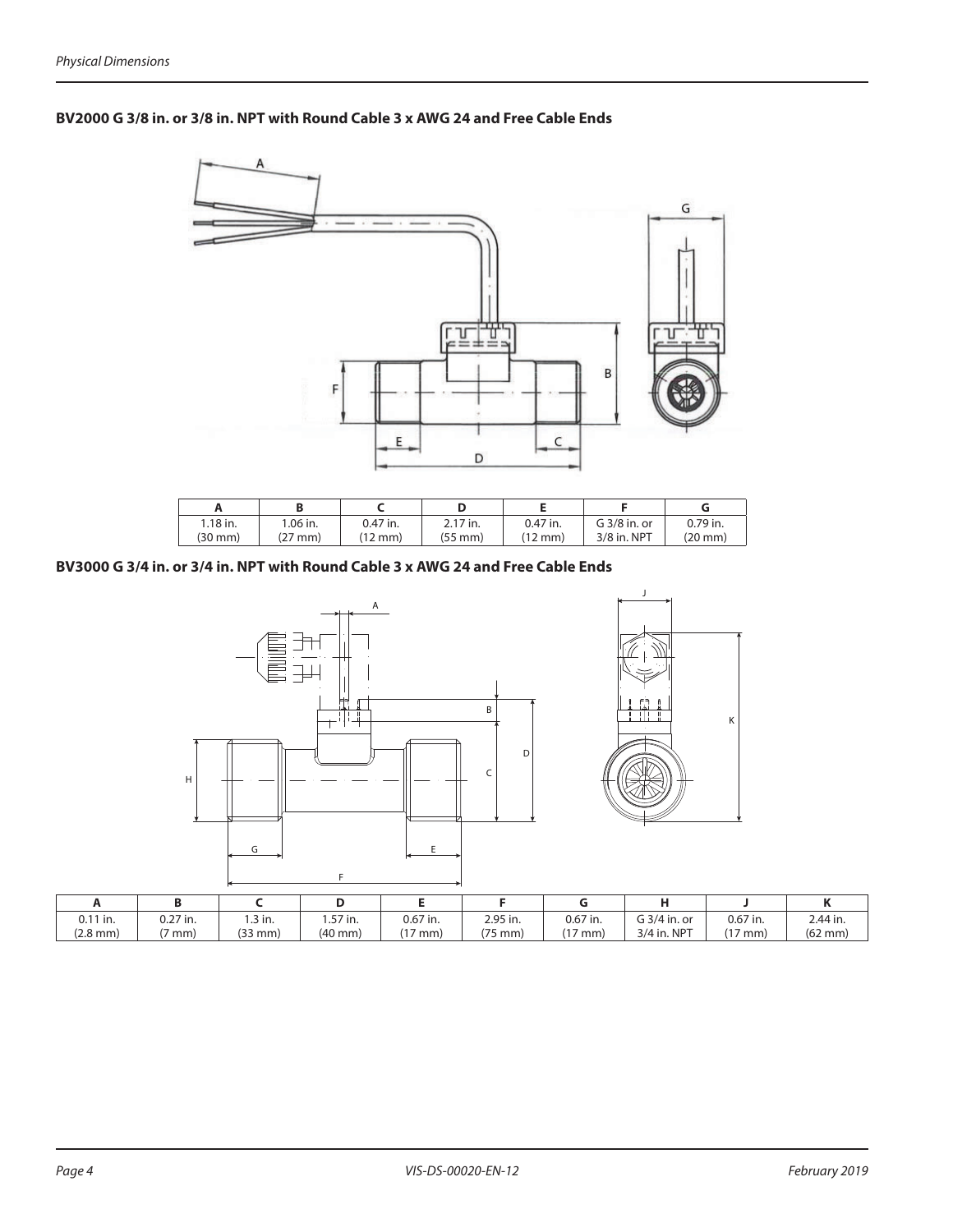

#### **BV2000 G 3/8 in. or 3/8 in. NPT with Round Cable 3 x AWG 24 and Free Cable Ends**

| $1.18$ in. | .06 in. | 0.47 in. | 2.17 in. | 0.47 in.          | G 3/8 in. or | 0.79 in. |
|------------|---------|----------|----------|-------------------|--------------|----------|
| (30 mm)    | mm)     | 12 mm)   | (55 mm)  | $(12 \text{ mm})$ | 3/8 in. NPT  | (20 mm)  |

#### **BV3000 G 3/4 in. or 3/4 in. NPT with Round Cable 3 x AWG 24 and Free Cable Ends**



| $0.11$ in.         | $0.27$ in. | .3 in.       | 57 in.            | $0.67$ in.      | 2.95 in.      | 0.67 in.       | G 3/4 in. or | 0.67 in. | 2.44 in.          |
|--------------------|------------|--------------|-------------------|-----------------|---------------|----------------|--------------|----------|-------------------|
| $(2.8 \text{ mm})$ | mm)        | $(33$ mm $)$ | $(40 \text{ mm})$ | $\sim$<br>' mm) | 175<br>75 mm) | $1 -$<br>' mm) | 3/4 in. NPT  | ' mm.    | $(62 \text{ mm})$ |

F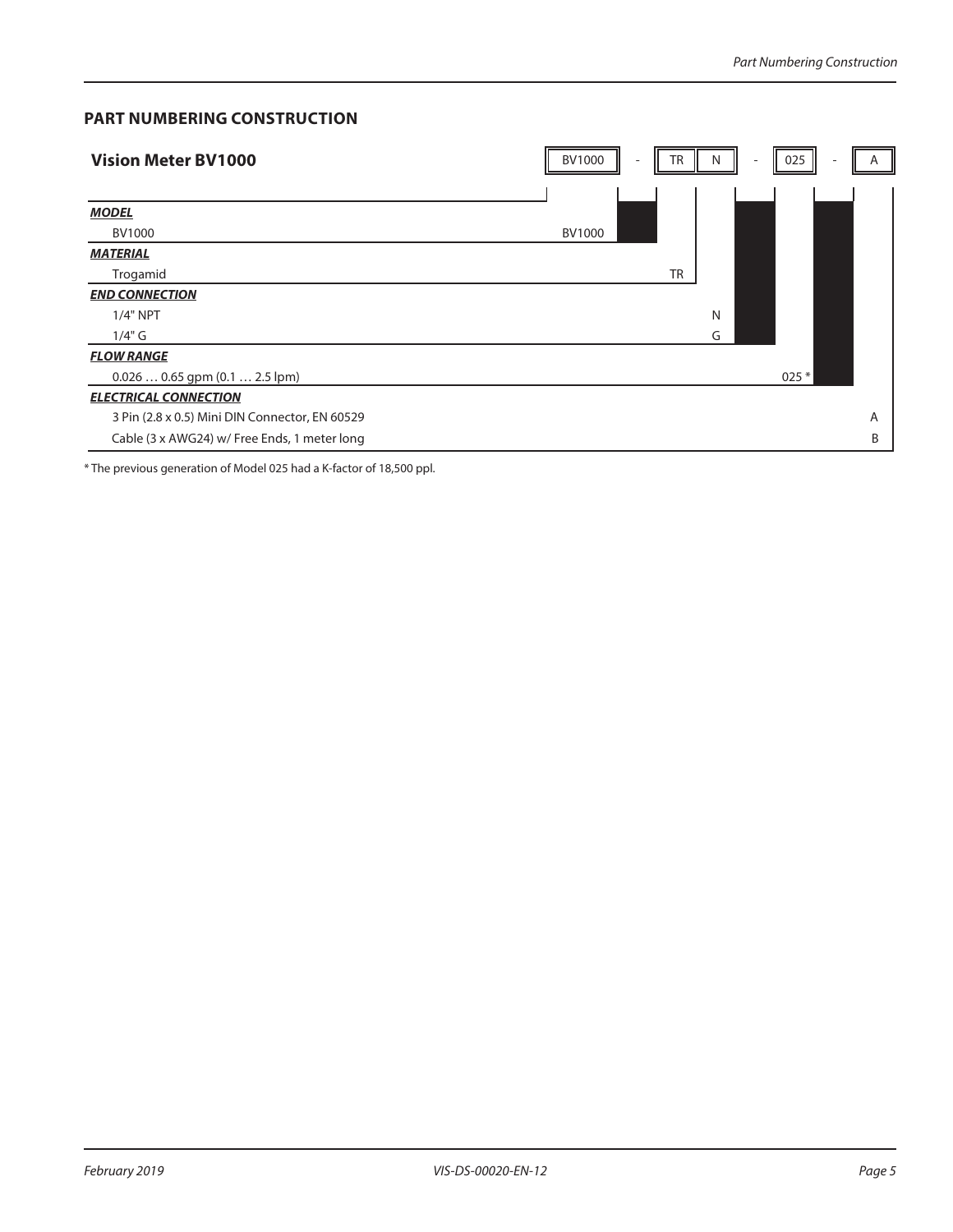#### **PART NUMBERING CONSTRUCTION**

| <b>Vision Meter BV1000</b>                     | <b>BV1000</b> | TR        | N | $\sim$ | 025     | A |
|------------------------------------------------|---------------|-----------|---|--------|---------|---|
|                                                |               |           |   |        |         |   |
| <b>MODEL</b>                                   |               |           |   |        |         |   |
| BV1000                                         | <b>BV1000</b> |           |   |        |         |   |
| <b>MATERIAL</b>                                |               |           |   |        |         |   |
| Trogamid                                       |               | <b>TR</b> |   |        |         |   |
| <b>END CONNECTION</b>                          |               |           |   |        |         |   |
| $1/4"$ NPT                                     |               |           | N |        |         |   |
| $1/4"$ G                                       |               |           | G |        |         |   |
| <b>FLOW RANGE</b>                              |               |           |   |        |         |   |
| $0.0260.65$ gpm $(0.12.5$ lpm)                 |               |           |   |        | $025 *$ |   |
| <b>ELECTRICAL CONNECTION</b>                   |               |           |   |        |         |   |
| 3 Pin (2.8 x 0.5) Mini DIN Connector, EN 60529 |               |           |   |        |         | A |
| Cable (3 x AWG24) w/ Free Ends, 1 meter long   |               |           |   |        |         | B |

\* The previous generation of Model 025 had a K-factor of 18,500 ppl.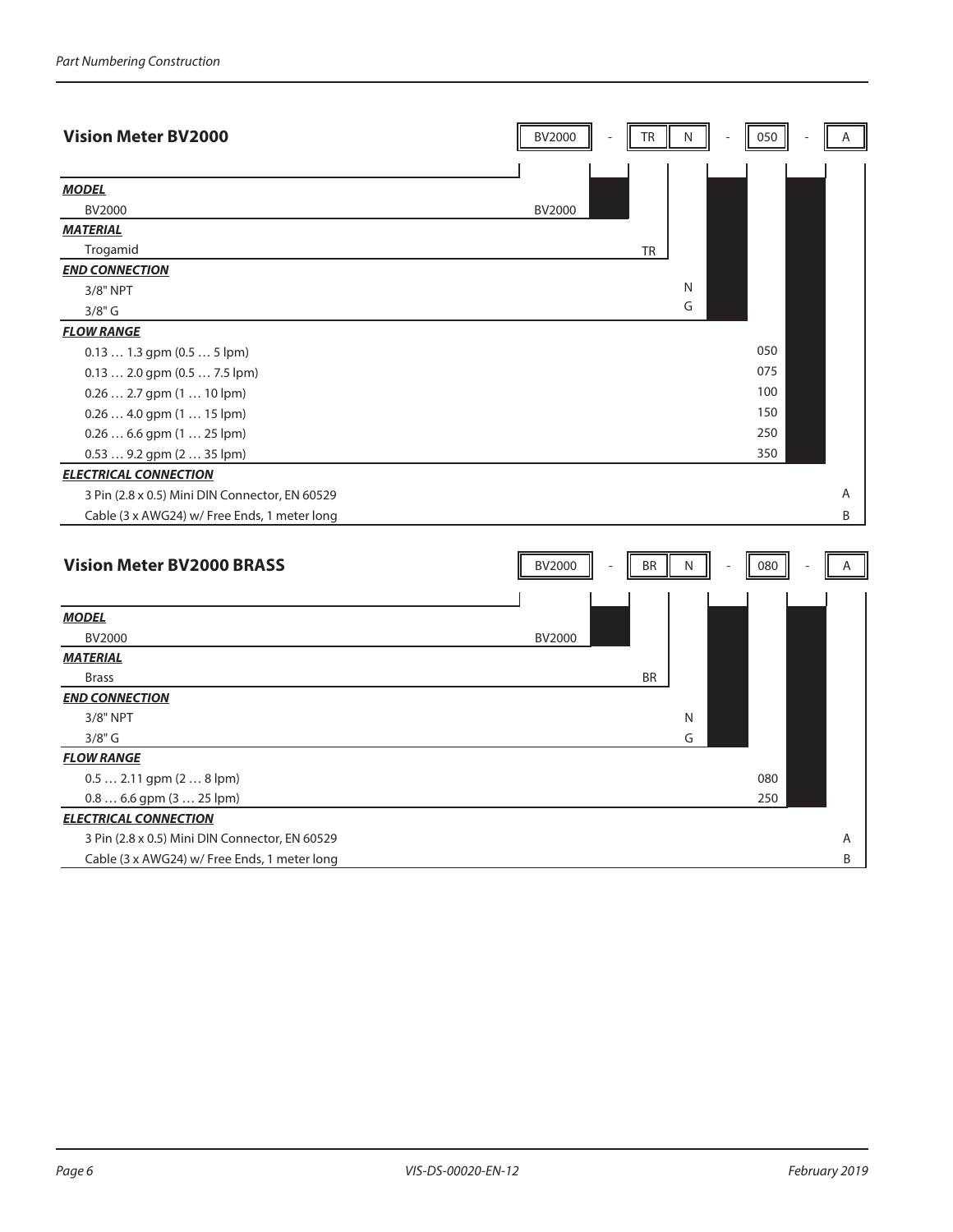| <b>Vision Meter BV2000</b>                     | BV2000<br>TR<br>N<br>050<br>Α        |
|------------------------------------------------|--------------------------------------|
| <b>MODEL</b>                                   |                                      |
| BV2000                                         | BV2000                               |
| <b>MATERIAL</b>                                |                                      |
| Trogamid                                       | <b>TR</b>                            |
| <b>END CONNECTION</b>                          |                                      |
| 3/8" NPT                                       | N                                    |
| $3/8"$ G                                       | G                                    |
| <b>FLOW RANGE</b>                              |                                      |
| $0.131.3$ gpm $(0.55$ lpm)                     | 050                                  |
| 0.13  2.0 gpm (0.5  7.5 lpm)                   | 075                                  |
| $0.26$ 2.7 gpm $(110$ lpm)                     | 100                                  |
| 0.26  4.0 gpm (1  15 lpm)                      | 150                                  |
| $0.266.6$ gpm $(125$ lpm)                      | 250                                  |
| 0.53  9.2 gpm (2  35 lpm)                      | 350                                  |
| <b>ELECTRICAL CONNECTION</b>                   |                                      |
| 3 Pin (2.8 x 0.5) Mini DIN Connector, EN 60529 | Α                                    |
| Cable (3 x AWG24) w/ Free Ends, 1 meter long   | B                                    |
|                                                |                                      |
| <b>Vision Meter BV2000 BRASS</b>               | BV2000<br><b>BR</b><br>N<br>080<br>A |
|                                                |                                      |
| <b>MODEL</b>                                   |                                      |
| <b>BV2000</b>                                  | BV2000                               |
| <b>MATERIAL</b>                                |                                      |
| <b>Brass</b>                                   | <b>BR</b>                            |
| <b>END CONNECTION</b>                          |                                      |
| 3/8" NPT                                       | N                                    |
| $3/8"$ G                                       | G                                    |
| <b>FLOW RANGE</b>                              |                                      |
| $0.5$ 2.11 gpm $(28$ lpm)                      | 080                                  |
| $0.8$ 6.6 gpm $(3$ 25 lpm)                     | 250                                  |
| <b>ELECTRICAL CONNECTION</b>                   |                                      |
| 3 Pin (2.8 x 0.5) Mini DIN Connector, EN 60529 | Α                                    |
| Cable (3 x AWG24) w/ Free Ends, 1 meter long   | B                                    |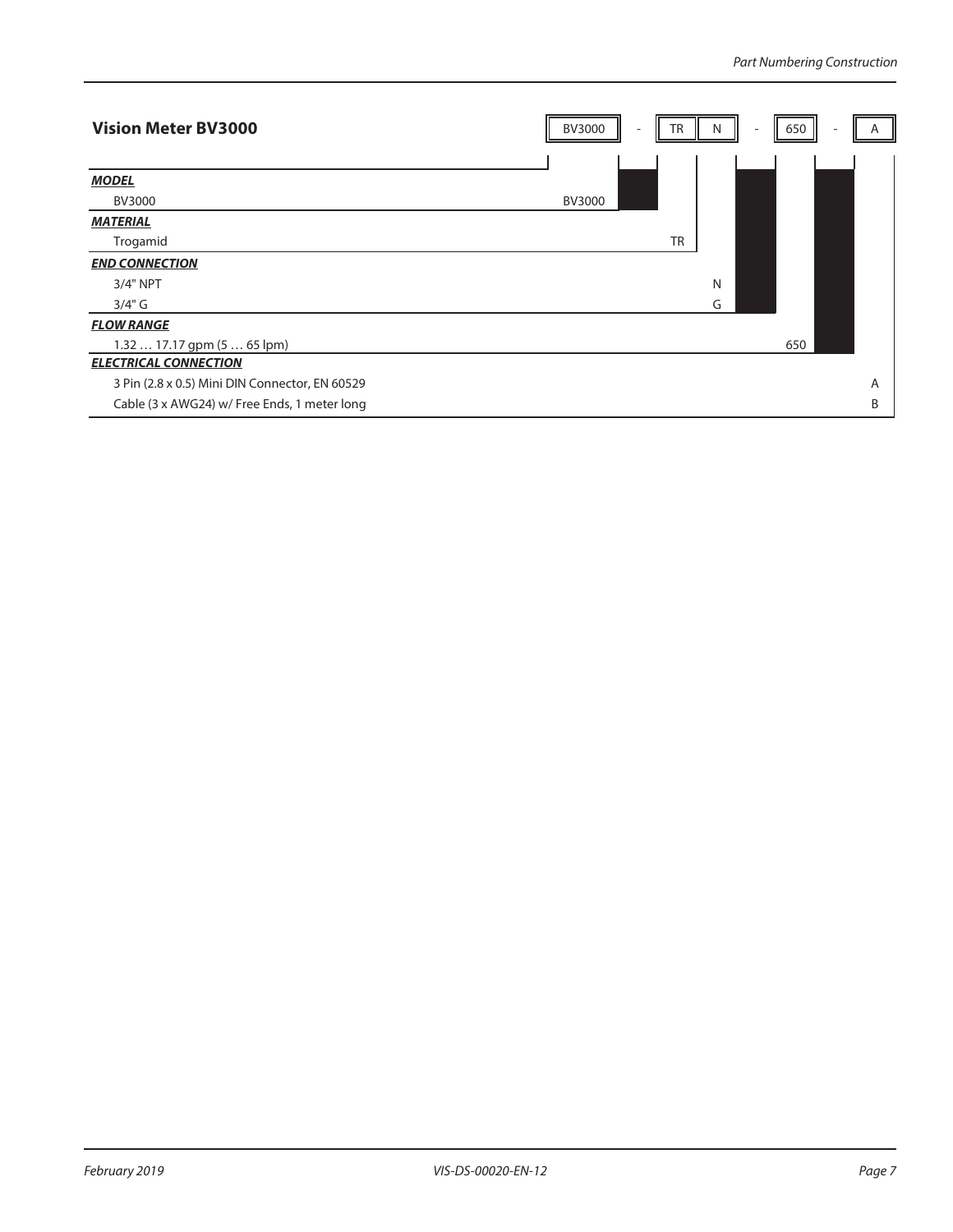